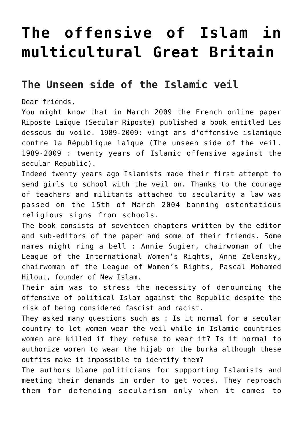## **[The offensive of Islam in](https://ripostelaique.com/the-offensive-of-islam-in.html) [multicultural Great Britain](https://ripostelaique.com/the-offensive-of-islam-in.html)**

## **The Unseen side of the Islamic veil**

Dear friends,

You might know that in March 2009 the French online paper Riposte Laïque (Secular Riposte) published a book entitled Les dessous du voile. 1989-2009: vingt ans d'offensive islamique contre la République laïque (The unseen side of the veil. 1989-2009 : twenty years of Islamic offensive against the secular Republic).

Indeed twenty years ago Islamists made their first attempt to send girls to school with the veil on. Thanks to the courage of teachers and militants attached to secularity a law was passed on the 15th of March 2004 banning ostentatious religious signs from schools.

The book consists of seventeen chapters written by the editor and sub-editors of the paper and some of their friends. Some names might ring a bell : Annie Sugier, chairwoman of the League of the International Women's Rights, Anne Zelensky, chairwoman of the League of Women's Rights, Pascal Mohamed Hilout, founder of New Islam.

Their aim was to stress the necessity of denouncing the offensive of political Islam against the Republic despite the risk of being considered fascist and racist.

They asked many questions such as : Is it normal for a secular country to let women wear the veil while in Islamic countries women are killed if they refuse to wear it? Is it normal to authorize women to wear the hijab or the burka although these outfits make it impossible to identify them?

The authors blame politicians for supporting Islamists and meeting their demands in order to get votes. They reproach them for defending secularism only when it comes to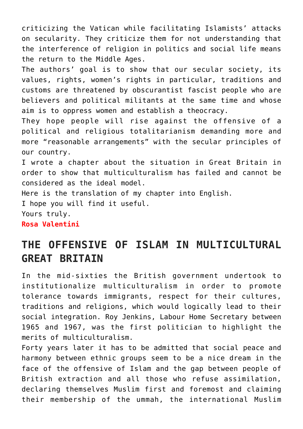criticizing the Vatican while facilitating Islamists' attacks on secularity. They criticize them for not understanding that the interference of religion in politics and social life means the return to the Middle Ages.

The authors' goal is to show that our secular society, its values, rights, women's rights in particular, traditions and customs are threatened by obscurantist fascist people who are believers and political militants at the same time and whose aim is to oppress women and establish a theocracy.

They hope people will rise against the offensive of a political and religious totalitarianism demanding more and more "reasonable arrangements" with the secular principles of our country.

I wrote a chapter about the situation in Great Britain in order to show that multiculturalism has failed and cannot be considered as the ideal model.

Here is the translation of my chapter into English.

I hope you will find it useful.

Yours truly.

**Rosa Valentini**

## **THE OFFENSIVE OF ISLAM IN MULTICULTURAL GREAT BRITAIN**

In the mid-sixties the British government undertook to institutionalize multiculturalism in order to promote tolerance towards immigrants, respect for their cultures, traditions and religions, which would logically lead to their social integration. Roy Jenkins, Labour Home Secretary between 1965 and 1967, was the first politician to highlight the merits of multiculturalism.

Forty years later it has to be admitted that social peace and harmony between ethnic groups seem to be a nice dream in the face of the offensive of Islam and the gap between people of British extraction and all those who refuse assimilation, declaring themselves Muslim first and foremost and claiming their membership of the ummah, the international Muslim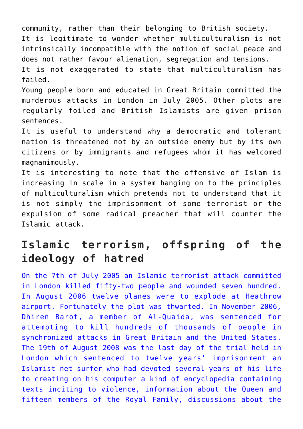community, rather than their belonging to British society. It is legitimate to wonder whether multiculturalism is not intrinsically incompatible with the notion of social peace and does not rather favour alienation, segregation and tensions. It is not exaggerated to state that multiculturalism has failed.

Young people born and educated in Great Britain committed the murderous attacks in London in July 2005. Other plots are regularly foiled and British Islamists are given prison sentences.

It is useful to understand why a democratic and tolerant nation is threatened not by an outside enemy but by its own citizens or by immigrants and refugees whom it has welcomed magnanimously.

It is interesting to note that the offensive of Islam is increasing in scale in a system hanging on to the principles of multiculturalism which pretends not to understand that it is not simply the imprisonment of some terrorist or the expulsion of some radical preacher that will counter the Islamic attack.

## **Islamic terrorism, offspring of the ideology of hatred**

[On the 7th of July 2005 an Islamic terrorist attack committed](http://ripostelaique.com/wp-content/uploads/2011/02/Islam_Will_dominate_World.jpg) [in London killed fifty-two people and wounded seven hundred.](http://ripostelaique.com/wp-content/uploads/2011/02/Islam_Will_dominate_World.jpg) [In August 2006 twelve planes were to explode at Heathrow](http://ripostelaique.com/wp-content/uploads/2011/02/Islam_Will_dominate_World.jpg) [airport. Fortunately the plot was thwarted. In November 2006,](http://ripostelaique.com/wp-content/uploads/2011/02/Islam_Will_dominate_World.jpg) [Dhiren Barot, a member of Al-Quaida, was sentenced for](http://ripostelaique.com/wp-content/uploads/2011/02/Islam_Will_dominate_World.jpg) [attempting to kill hundreds of thousands of people in](http://ripostelaique.com/wp-content/uploads/2011/02/Islam_Will_dominate_World.jpg) [synchronized attacks in Great Britain and the United States.](http://ripostelaique.com/wp-content/uploads/2011/02/Islam_Will_dominate_World.jpg) [The 19th of August 2008 was the last day of the trial held in](http://ripostelaique.com/wp-content/uploads/2011/02/Islam_Will_dominate_World.jpg) [London which sentenced to twelve years' imprisonment an](http://ripostelaique.com/wp-content/uploads/2011/02/Islam_Will_dominate_World.jpg) [Islamist net surfer who had devoted several years of his life](http://ripostelaique.com/wp-content/uploads/2011/02/Islam_Will_dominate_World.jpg) [to creating on his computer a kind of encyclopedia containing](http://ripostelaique.com/wp-content/uploads/2011/02/Islam_Will_dominate_World.jpg) [texts inciting to violence, information about the Queen and](http://ripostelaique.com/wp-content/uploads/2011/02/Islam_Will_dominate_World.jpg) [fifteen members of the Royal Family, discussions about the](http://ripostelaique.com/wp-content/uploads/2011/02/Islam_Will_dominate_World.jpg)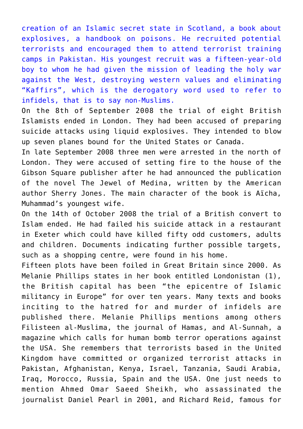[creation of an Islamic secret state in Scotland, a book about](http://ripostelaique.com/wp-content/uploads/2011/02/Islam_Will_dominate_World.jpg) [explosives, a handbook on poisons. He recruited potential](http://ripostelaique.com/wp-content/uploads/2011/02/Islam_Will_dominate_World.jpg) [terrorists and encouraged them to attend terrorist training](http://ripostelaique.com/wp-content/uploads/2011/02/Islam_Will_dominate_World.jpg) [camps in Pakistan. His youngest recruit was a fifteen-year-old](http://ripostelaique.com/wp-content/uploads/2011/02/Islam_Will_dominate_World.jpg) [boy to whom he had given the mission of leading the holy war](http://ripostelaique.com/wp-content/uploads/2011/02/Islam_Will_dominate_World.jpg) [against the West, destroying western values and eliminating](http://ripostelaique.com/wp-content/uploads/2011/02/Islam_Will_dominate_World.jpg) ["Kaffirs", which is the derogatory word used to refer to](http://ripostelaique.com/wp-content/uploads/2011/02/Islam_Will_dominate_World.jpg) [infidels, that is to say non-Muslims.](http://ripostelaique.com/wp-content/uploads/2011/02/Islam_Will_dominate_World.jpg)

On the 8th of September 2008 the trial of eight British Islamists ended in London. They had been accused of preparing suicide attacks using liquid explosives. They intended to blow up seven planes bound for the United States or Canada.

In late September 2008 three men were arrested in the north of London. They were accused of setting fire to the house of the Gibson Square publisher after he had announced the publication of the novel The Jewel of Medina, written by the American author Sherry Jones. The main character of the book is Aïcha, Muhammad's youngest wife.

On the 14th of October 2008 the trial of a British convert to Islam ended. He had failed his suicide attack in a restaurant in Exeter which could have killed fifty odd customers, adults and children. Documents indicating further possible targets, such as a shopping centre, were found in his home.

Fifteen plots have been foiled in Great Britain since 2000. As Melanie Phillips states in her book entitled Londonistan (1), the British capital has been "the epicentre of Islamic militancy in Europe" for over ten years. Many texts and books inciting to the hatred for and murder of infidels are published there. Melanie Phillips mentions among others Filisteen al-Muslima, the journal of Hamas, and Al-Sunnah, a magazine which calls for human bomb terror operations against the USA. She remembers that terrorists based in the United Kingdom have committed or organized terrorist attacks in Pakistan, Afghanistan, Kenya, Israel, Tanzania, Saudi Arabia, Iraq, Morocco, Russia, Spain and the USA. One just needs to mention Ahmed Omar Saeed Sheikh, who assassinated the journalist Daniel Pearl in 2001, and Richard Reid, famous for